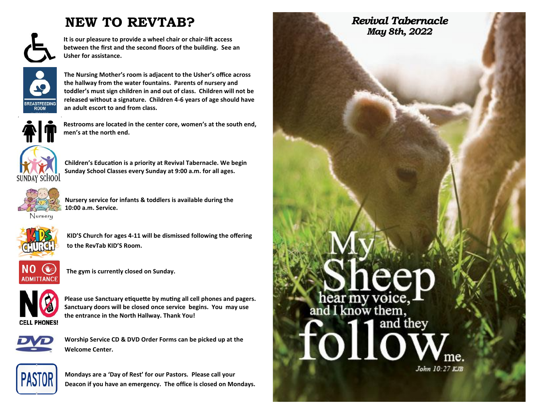### **NEW TO REVTAB?**

**It is our pleasure to provide a wheel chair or chair-lift access between the first and the second floors of the building. See an Usher for assistance.**



**The Nursing Mother's room is adjacent to the Usher's office across the hallway from the water fountains. Parents of nursery and toddler's must sign children in and out of class. Children will not be released without a signature. Children 4-6 years of age should have an adult escort to and from class.** 



**Restrooms are located in the center core, women's at the south end, men's at the north end.**



**Children's Education is a priority at Revival Tabernacle. We begin Sunday School Classes every Sunday at 9:00 a.m. for all ages.** 



**Nursery service for infants & toddlers is available during the 10:00 a.m. Service.** 



 **KID'S Church for ages 4-11 will be dismissed following the offering to the RevTab KID'S Room.** 



**The gym is currently closed on Sunday.** 



**Please use Sanctuary etiquette by muting all cell phones and pagers. Sanctuary doors will be closed once service begins. You may use the entrance in the North Hallway. Thank You!**



**Worship Service CD & DVD Order Forms can be picked up at the Welcome Center.**



**Mondays are a 'Day of Rest' for our Pastors***.* **Please call your Deacon if you have an emergency. The office is closed on Mondays.**

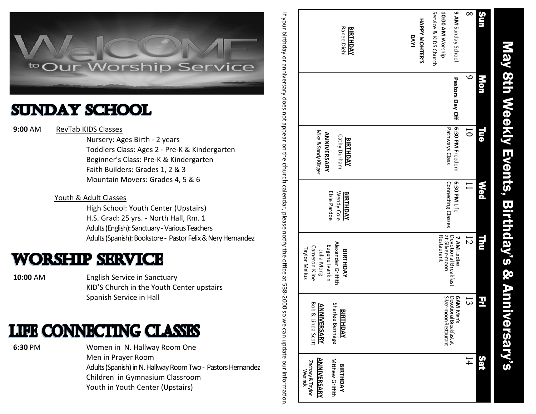

## **SUNDAY SCHOOL**

**9:00** AMRevTab KIDS Classes

 Nursery: Ages Birth - 2 years Toddlers Class: Ages 2 - Pre -K & Kindergarten Beginner 's Class: Pre -K & Kindergarten Faith Builders: Grades 1, 2 & 3 Mountain Movers: Grades 4, 5 & 6

#### Youth & Adult Classes

 High School: Youth Center (Upstairs) H.S. Grad: 25 yrs. - North Hall, Rm. 1 Adults (English): Sanctuary -Various Teachers Adults (Spanish): Bookstore - Pastor Felix & Nery Hernandez

## **WORSHIP SERVICE**

**10:00** AM English Service in Sanctuary KID 'S Church in the Youth Center upstairs Spanish Service in Hall

## **LIFE CONNECTING CLASSES**

**6:30** PM Women in N. Hallway Room One Men in Prayer Room Adults (Spanish) in N. Hallway Room Two - Pastors Hernandez Children in Gymnasium Classroom Youth in Youth Center (Upstairs)

Service & KIDS Church 9 AM Sunday School  $\infty$ Service & KIDS Church 10:00 AM Worship **10:00 AM** Sun Mon Tue Wed Thu Fri Sat **9 AM** 8 Sunday School If your birthday or anniversary does not appear on the **HAPPY MOHTERRanee Dieh BIRTHDAY** Ranee Diehl **BIRTHDAY DAY! 'S**   $\bullet$ Pastors Day Off **Pastors Day Off** g 6:30 PM Freedom Pathways Class Pathways Class **6:30 PM**  10 **Ta** Mike & Sandy Klinger Mike & Sandy Klinger **ANNIVERSARY ANNIVERSARY** Cathy Durham Cathy Durham **BIRTHDAY BIRTHDAY** Freedom church Connecting Classes 6:30 PM Life Connecting Classes **6:30 PM Med**  $\Box$ calendar, please notify the office at 538Elsie Pardoe Wendy Cole Wendy Cole **BIRTHDAY** Elsie Pardoe **BIRTHDAY** E Restaurant at Silver Devotional Breakfast<br>at Silver-moon **7 AM**  12 Alexander Griffith Alexander Griffith Eugene Ivankin Cameron Kline Eugene Ivankin Cameron Kline Taylor Melius Taylor Melius **BIRTHDAY** Julia Mong **BIRTHDAY** Julia Mong Ladies 2000 so we can update our information. 13 E Silver Devotional Breakfast at **6 AM**  Bob & Linda Scott Bob & Linda Scott Sharlee Bennage **ANNIVERSARY ANNIVERSARY** Sharlee Bennage **BIRTHDAY** -moon Restaurant Men's Sat 14 **ANNIVERSARY ANNIVERSARY** Mtthew Griffith Zachary & Taylor<br>Wenrick Mtthew Griffith Zachary & Taylor **BIRTHDAY BIRTHDAY**

May 8th Weekly Events, Birthday's & Anniversary's

**Birthday's** 

**Ro** 

**Anniversary's** 

Events,

May 8th

**Weekly**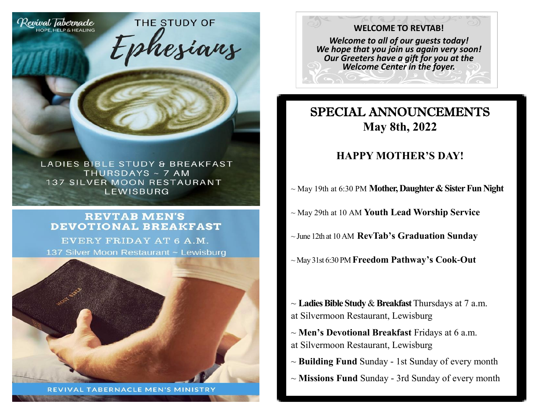

LADIES BIBLE STUDY & BREAKFAST THURSDAYS ~ 7 AM **137 SILVER MOON RESTAURANT** LEWISBURG

THE STUDY OF

#### **REVTAB MEN'S DEVOTIONAL BREAKFAST**

EVERY FRIDAY AT 6 A.M. 137 Silver Moon Restaurant ~ Lewisburg



**REVIVAL TABERNACLE MEN'S MINISTRY** 

#### **WELCOME TO REVTAB!**

*Welcome to all of our guests today! We hope that you join us again very soon! Our Greeters have a gift for you at the Welcome Center in the foyer.*

### SPECIAL ANNOUNCEMENTS **May 8th, 2022**

#### **HAPPY MOTHER'S DAY!**

- ~ May 19th at 6:30 PM **Mother, Daughter & Sister Fun Night**
- ~ May 29th at 10 AM **Youth Lead Worship Service**
- ~ June 12th at 10 AM **RevTab's Graduation Sunday**
- ~ May 31st 6:30 PM **Freedom Pathway's Cook-Out**

~ **Ladies Bible Study**& **Breakfast** Thursdays at 7 a.m. at Silvermoon Restaurant, Lewisburg

- ~ **Men's Devotional Breakfast** Fridays at 6 a.m. at Silvermoon Restaurant, Lewisburg
- ~ **Building Fund** Sunday 1st Sunday of every month
- ~ **Missions Fund** Sunday 3rd Sunday of every month